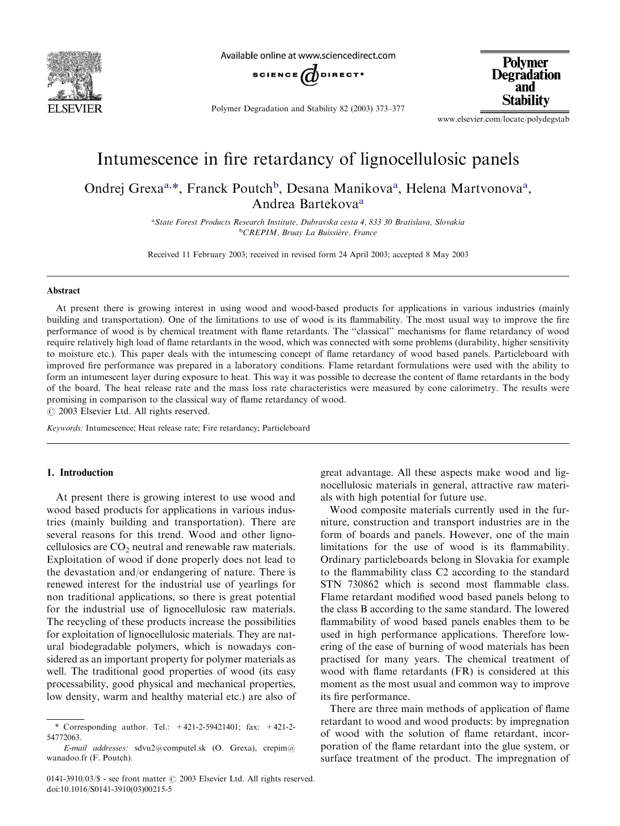

Available online at www.sciencedirect.com



Polymer Degradation and Stability 82 (2003) 373–377

**Polymer Degradation** and **Stability** 

[www.elsevier.com/locate/polydegstab](http://www.elsevier.com/locate/polydegstab/a4.3d)

# Intumescence in fire retardancy of lignocellulosic panels

Ondrej Grexa<sup>a,\*</sup>, Franck Poutch<sup>b</sup>, Desana Manikova<sup>a</sup>, Helena Martvonova<sup>a</sup>, Andrea Bartekova<sup>a</sup>

> a State Forest Products Research Institute, Dubravska cesta 4, 833 30 Bratislava, Slovakia <sup>b</sup>CREPIM, Bruay La Buissière, France

Received 11 February 2003; received in revised form 24 April 2003; accepted 8 May 2003

## Abstract

At present there is growing interest in using wood and wood-based products for applications in various industries (mainly building and transportation). One of the limitations to use of wood is its flammability. The most usual way to improve the fire performance of wood is by chemical treatment with flame retardants. The ''classical'' mechanisms for flame retardancy of wood require relatively high load of flame retardants in the wood, which was connected with some problems (durability, higher sensitivity to moisture etc.). This paper deals with the intumescing concept of flame retardancy of wood based panels. Particleboard with improved fire performance was prepared in a laboratory conditions. Flame retardant formulations were used with the ability to form an intumescent layer during exposure to heat. This way it was possible to decrease the content of flame retardants in the body of the board. The heat release rate and the mass loss rate characteristics were measured by cone calorimetry. The results were promising in comparison to the classical way of flame retardancy of wood.

 $\odot$  2003 Elsevier Ltd. All rights reserved.

Keywords: Intumescence; Heat release rate; Fire retardancy; Particleboard

#### 1. Introduction

At present there is growing interest to use wood and wood based products for applications in various industries (mainly building and transportation). There are several reasons for this trend. Wood and other lignocellulosics are  $CO<sub>2</sub>$  neutral and renewable raw materials. Exploitation of wood if done properly does not lead to the devastation and/or endangering of nature. There is renewed interest for the industrial use of yearlings for non traditional applications, so there is great potential for the industrial use of lignocellulosic raw materials. The recycling of these products increase the possibilities for exploitation of lignocellulosic materials. They are natural biodegradable polymers, which is nowadays considered as an important property for polymer materials as well. The traditional good properties of wood (its easy processability, good physical and mechanical properties, low density, warm and healthy material etc.) are also of great advantage. All these aspects make wood and lignocellulosic materials in general, attractive raw materials with high potential for future use.

Wood composite materials currently used in the furniture, construction and transport industries are in the form of boards and panels. However, one of the main limitations for the use of wood is its flammability. Ordinary particleboards belong in Slovakia for example to the flammability class C2 according to the standard STN 730862 which is second most flammable class. Flame retardant modified wood based panels belong to the class B according to the same standard. The lowered flammability of wood based panels enables them to be used in high performance applications. Therefore lowering of the ease of burning of wood materials has been practised for many years. The chemical treatment of wood with flame retardants (FR) is considered at this moment as the most usual and common way to improve its fire performance.

There are three main methods of application of flame retardant to wood and wood products: by impregnation of wood with the solution of flame retardant, incorporation of the flame retardant into the glue system, or surface treatment of the product. The impregnation of

<sup>\*</sup> Corresponding author. Tel.: +421-2-59421401; fax: +421-2- 54772063.

E-mail addresses: [sdvu2@computel.sk](mailto:sdvu2@computel.sk) (O. Grexa), [crepim@](mailto:crepim@wanadoo.fr) [wanadoo.fr](mailto:crepim@wanadoo.fr) (F. Poutch).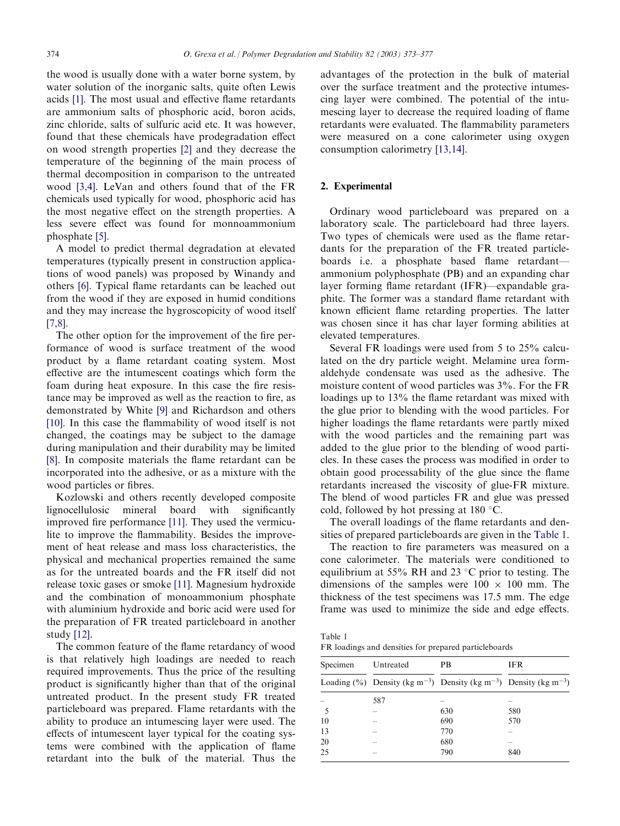the wood is usually done with a water borne system, by water solution of the inorganic salts, quite often Lewis acids [\[1\]](#page-4-0). The most usual and effective flame retardants are ammonium salts of phosphoric acid, boron acids, zinc chloride, salts of sulfuric acid etc. It was however, found that these chemicals have prodegradation effect on wood strength properties [2] and they decrease the temperature of the beginning of the main process of thermal decomposition in comparison to the untreated wood [\[3,4\].](#page-4-0) LeVan and others found that of the FR chemicals used typically for wood, phosphoric acid has the most negative effect on the strength properties. A less severe effect was found for monnoammonium phosphate [\[5\]](#page-4-0).

A model to predict thermal degradation at elevated temperatures (typically present in construction applications of wood panels) was proposed by Winandy and others [\[6\]](#page-4-0). Typical flame retardants can be leached out from the wood if they are exposed in humid conditions and they may increase the hygroscopicity of wood itself [\[7,8\].](#page-4-0)

The other option for the improvement of the fire performance of wood is surface treatment of the wood product by a flame retardant coating system. Most effective are the intumescent coatings which form the foam during heat exposure. In this case the fire resistance may be improved as well as the reaction to fire, as demonstrated by White [\[9\]](#page-4-0) and Richardson and others [\[10\]](#page-4-0). In this case the flammability of wood itself is not changed, the coatings may be subject to the damage during manipulation and their durability may be limited [\[8\]](#page-4-0). In composite materials the flame retardant can be incorporated into the adhesive, or as a mixture with the wood particles or fibres.

Kozlowski and others recently developed composite lignocellulosic mineral board with significantly improved fire performance [\[11\].](#page-4-0) They used the vermiculite to improve the flammability. Besides the improvement of heat release and mass loss characteristics, the physical and mechanical properties remained the same as for the untreated boards and the FR itself did not release toxic gases or smoke [\[11\].](#page-4-0) Magnesium hydroxide and the combination of monoammonium phosphate with aluminium hydroxide and boric acid were used for the preparation of FR treated particleboard in another study [\[12\]](#page-4-0).

The common feature of the flame retardancy of wood is that relatively high loadings are needed to reach required improvements. Thus the price of the resulting product is significantly higher than that of the original untreated product. In the present study FR treated particleboard was prepared. Flame retardants with the ability to produce an intumescing layer were used. The effects of intumescent layer typical for the coating systems were combined with the application of flame retardant into the bulk of the material. Thus the

advantages of the protection in the bulk of material over the surface treatment and the protective intumescing layer were combined. The potential of the intumescing layer to decrease the required loading of flame retardants were evaluated. The flammability parameters were measured on a cone calorimeter using oxygen consumption calorimetry [\[13,14\]](#page-4-0).

### 2. Experimental

Ordinary wood particleboard was prepared on a laboratory scale. The particleboard had three layers. Two types of chemicals were used as the flame retardants for the preparation of the FR treated particleboards i.e. a phosphate based flame retardant ammonium polyphosphate (PB) and an expanding char layer forming flame retardant (IFR)—expandable graphite. The former was a standard flame retardant with known efficient flame retarding properties. The latter was chosen since it has char layer forming abilities at elevated temperatures.

Several FR loadings were used from 5 to 25% calculated on the dry particle weight. Melamine urea formaldehyde condensate was used as the adhesive. The moisture content of wood particles was 3%. For the FR loadings up to 13% the flame retardant was mixed with the glue prior to blending with the wood particles. For higher loadings the flame retardants were partly mixed with the wood particles and the remaining part was added to the glue prior to the blending of wood particles. In these cases the process was modified in order to obtain good processability of the glue since the flame retardants increased the viscosity of glue-FR mixture. The blend of wood particles FR and glue was pressed cold, followed by hot pressing at  $180^{\circ}$ C.

The overall loadings of the flame retardants and densities of prepared particleboards are given in the Table 1.

The reaction to fire parameters was measured on a cone calorimeter. The materials were conditioned to equilibrium at 55% RH and 23  $\degree$ C prior to testing. The dimensions of the samples were  $100 \times 100$  mm. The thickness of the test specimens was 17.5 mm. The edge frame was used to minimize the side and edge effects.

Table 1 FR loadings and densities for prepared particleboards

| Specimen Untreated | Loading $(\% )$ Density (kg m <sup>-3</sup> ) Density (kg m <sup>-3</sup> ) Density (kg m <sup>-3</sup> ) | PB. | IFR |
|--------------------|-----------------------------------------------------------------------------------------------------------|-----|-----|
|                    |                                                                                                           |     |     |
| 5                  |                                                                                                           | 630 | 580 |
| 10                 |                                                                                                           | 690 | 570 |
| 13                 |                                                                                                           | 770 |     |
| 20                 |                                                                                                           | 680 |     |
| 25                 |                                                                                                           | 790 | 840 |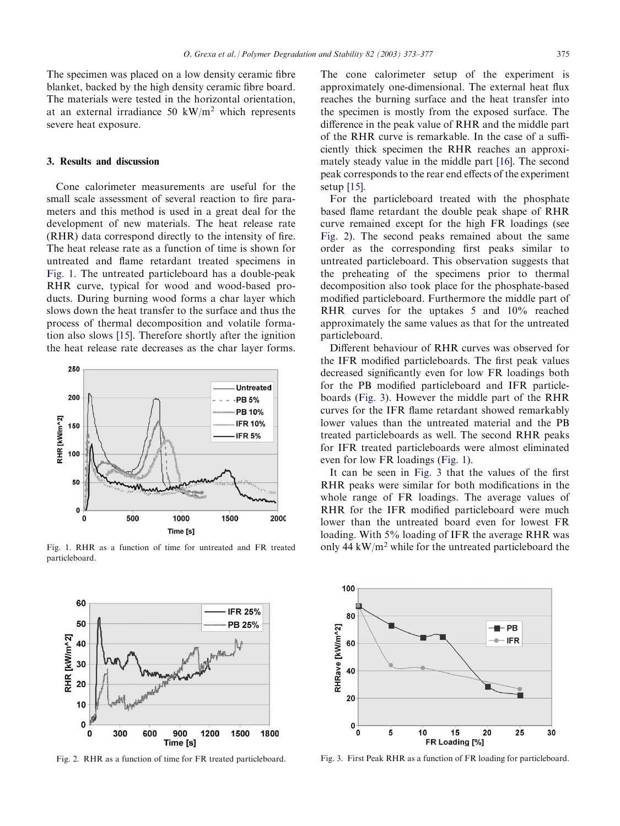<span id="page-2-0"></span>The specimen was placed on a low density ceramic fibre blanket, backed by the high density ceramic fibre board. The materials were tested in the horizontal orientation, at an external irradiance 50 kW/m<sup>2</sup> which represents severe heat exposure.

# 3. Results and discussion

Cone calorimeter measurements are useful for the small scale assessment of several reaction to fire parameters and this method is used in a great deal for the development of new materials. The heat release rate (RHR) data correspond directly to the intensity of fire. The heat release rate as a function of time is shown for untreated and flame retardant treated specimens in Fig. 1. The untreated particleboard has a double-peak RHR curve, typical for wood and wood-based products. During burning wood forms a char layer which slows down the heat transfer to the surface and thus the process of thermal decomposition and volatile formation also slows [\[15\]](#page-4-0). Therefore shortly after the ignition the heat release rate decreases as the char layer forms.



particleboard.



The cone calorimeter setup of the experiment is approximately one-dimensional. The external heat flux reaches the burning surface and the heat transfer into the specimen is mostly from the exposed surface. The difference in the peak value of RHR and the middle part of the RHR curve is remarkable. In the case of a sufficiently thick specimen the RHR reaches an approximately steady value in the middle part [\[16\]](#page-4-0). The second peak corresponds to the rear end effects of the experiment setup [\[15\].](#page-4-0)

For the particleboard treated with the phosphate based flame retardant the double peak shape of RHR curve remained except for the high FR loadings (see Fig. 2). The second peaks remained about the same order as the corresponding first peaks similar to untreated particleboard. This observation suggests that the preheating of the specimens prior to thermal decomposition also took place for the phosphate-based modified particleboard. Furthermore the middle part of RHR curves for the uptakes 5 and 10% reached approximately the same values as that for the untreated particleboard.

Different behaviour of RHR curves was observed for the IFR modified particleboards. The first peak values decreased significantly even for low FR loadings both for the PB modified particleboard and IFR particleboards (Fig. 3). However the middle part of the RHR curves for the IFR flame retardant showed remarkably lower values than the untreated material and the PB treated particleboards as well. The second RHR peaks for IFR treated particleboards were almost eliminated even for low FR loadings (Fig. 1).

It can be seen in Fig. 3 that the values of the first RHR peaks were similar for both modifications in the whole range of FR loadings. The average values of RHR for the IFR modified particleboard were much lower than the untreated board even for lowest FR loading. With 5% loading of IFR the average RHR was Fig. 1. RHR as a function of time for untreated and FR treated only  $44 \text{ kW/m}^2$  while for the untreated particleboard the



Fig. 2. RHR as a function of time for FR treated particleboard. Fig. 3. First Peak RHR as a function of FR loading for particleboard.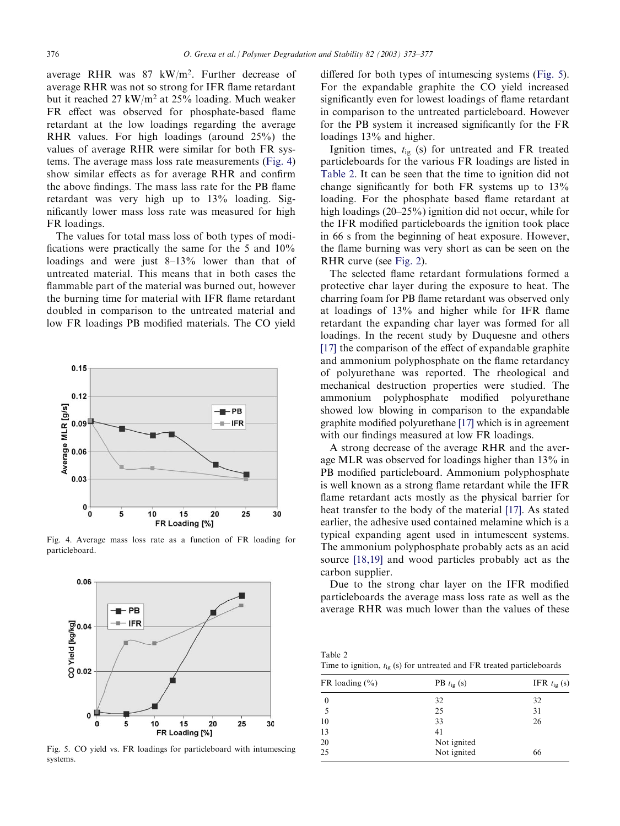average RHR was  $87 \text{ kW/m}^2$ . Further decrease of average RHR was not so strong for IFR flame retardant but it reached 27 kW/m<sup>2</sup> at 25% loading. Much weaker FR effect was observed for phosphate-based flame retardant at the low loadings regarding the average RHR values. For high loadings (around 25%) the values of average RHR were similar for both FR systems. The average mass loss rate measurements (Fig. 4) show similar effects as for average RHR and confirm the above findings. The mass lass rate for the PB flame retardant was very high up to 13% loading. Significantly lower mass loss rate was measured for high FR loadings.

The values for total mass loss of both types of modifications were practically the same for the 5 and 10% loadings and were just 8–13% lower than that of untreated material. This means that in both cases the flammable part of the material was burned out, however the burning time for material with IFR flame retardant doubled in comparison to the untreated material and low FR loadings PB modified materials. The CO yield



Fig. 4. Average mass loss rate as a function of FR loading for particleboard.



Fig. 5. CO yield vs. FR loadings for particleboard with intumescing systems.

differed for both types of intumescing systems (Fig. 5). For the expandable graphite the CO yield increased significantly even for lowest loadings of flame retardant in comparison to the untreated particleboard. However for the PB system it increased significantly for the FR loadings 13% and higher.

Ignition times,  $t_{ig}$  (s) for untreated and FR treated particleboards for the various FR loadings are listed in Table 2. It can be seen that the time to ignition did not change significantly for both FR systems up to 13% loading. For the phosphate based flame retardant at high loadings (20–25%) ignition did not occur, while for the IFR modified particleboards the ignition took place in 66 s from the beginning of heat exposure. However, the flame burning was very short as can be seen on the RHR curve (see [Fig. 2](#page-2-0)).

The selected flame retardant formulations formed a protective char layer during the exposure to heat. The charring foam for PB flame retardant was observed only at loadings of 13% and higher while for IFR flame retardant the expanding char layer was formed for all loadings. In the recent study by Duquesne and others [\[17\]](#page-4-0) the comparison of the effect of expandable graphite and ammonium polyphosphate on the flame retardancy of polyurethane was reported. The rheological and mechanical destruction properties were studied. The ammonium polyphosphate modified polyurethane showed low blowing in comparison to the expandable graphite modified polyurethane [\[17\]](#page-4-0) which is in agreement with our findings measured at low FR loadings.

A strong decrease of the average RHR and the average MLR was observed for loadings higher than 13% in PB modified particleboard. Ammonium polyphosphate is well known as a strong flame retardant while the IFR flame retardant acts mostly as the physical barrier for heat transfer to the body of the material [\[17\].](#page-4-0) As stated earlier, the adhesive used contained melamine which is a typical expanding agent used in intumescent systems. The ammonium polyphosphate probably acts as an acid source [\[18,19\]](#page-4-0) and wood particles probably act as the carbon supplier.

Due to the strong char layer on the IFR modified particleboards the average mass loss rate as well as the average RHR was much lower than the values of these

Table 2 Time to ignition,  $t_{i\sigma}$  (s) for untreated and FR treated particleboards

| FR loading $(\% )$ | PB $t_{ig}$ (s) | IFR $t_{ig}$ (s) |
|--------------------|-----------------|------------------|
| $\theta$           | 32              | 32               |
| 5                  | 25              | 31               |
| 10                 | 33              | 26               |
| 13                 | 41              |                  |
| 20                 | Not ignited     |                  |
| 25                 | Not ignited     | 66               |